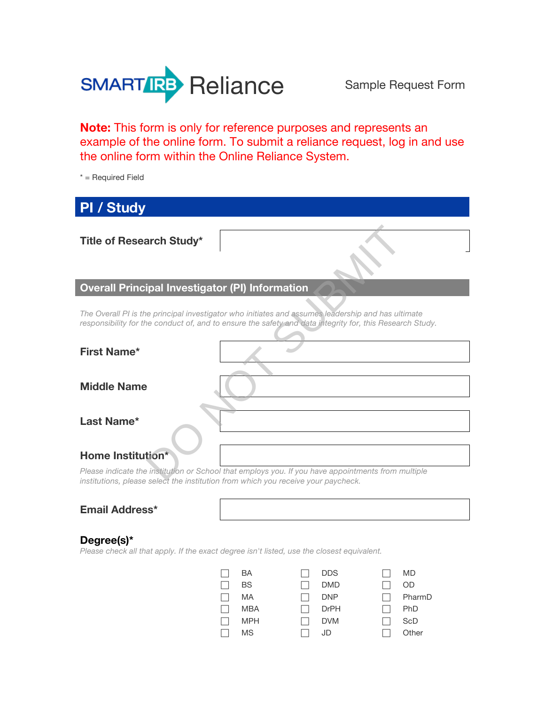

**Note:** This form is only for reference purposes and represents an example of the online form. To submit a reliance request, log in and use the online form within the Online Reliance System.

\* = Required Field

| <b>PI / Study</b>                                                                |                                                                                                                                                                                                                |
|----------------------------------------------------------------------------------|----------------------------------------------------------------------------------------------------------------------------------------------------------------------------------------------------------------|
|                                                                                  |                                                                                                                                                                                                                |
| <b>Title of Research Study*</b>                                                  |                                                                                                                                                                                                                |
|                                                                                  |                                                                                                                                                                                                                |
| <b>Overall Principal Investigator (PI) Information</b>                           |                                                                                                                                                                                                                |
|                                                                                  |                                                                                                                                                                                                                |
|                                                                                  | The Overall PI is the principal investigator who initiates and assumes leadership and has ultimate<br>responsibility for the conduct of, and to ensure the safety and data integrity for, this Research Study. |
|                                                                                  |                                                                                                                                                                                                                |
| <b>First Name*</b>                                                               |                                                                                                                                                                                                                |
|                                                                                  |                                                                                                                                                                                                                |
| <b>Middle Name</b>                                                               |                                                                                                                                                                                                                |
|                                                                                  |                                                                                                                                                                                                                |
| Last Name*                                                                       |                                                                                                                                                                                                                |
|                                                                                  |                                                                                                                                                                                                                |
| Home Institution*                                                                |                                                                                                                                                                                                                |
| inotitutional places solect the institution from which you resolve your povehook | Please indicate the institution or School that employs you. If you have appointments from multiple                                                                                                             |

*Please indicate the institution or School that employs you. If you have appointments from multiple institutions, please select the institution from which you receive your paycheck.*

#### **Degree(s)\***

*Please check all that apply. If the exact degree isn't listed, use the closest equivalent.*

| BA         | <b>DDS</b>  | MD         |
|------------|-------------|------------|
| BS.        | <b>DMD</b>  | OD         |
| MA         | <b>DNP</b>  | PharmD     |
| MBA        | <b>DrPH</b> | <b>PhD</b> |
| <b>MPH</b> | <b>DVM</b>  | ScD        |
| <b>MS</b>  | JD          | Other      |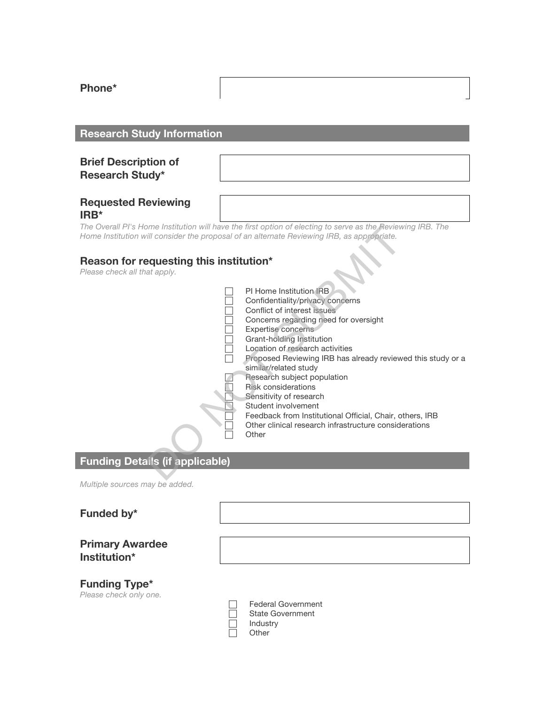**Phone\*** 

# **Research Study Information**

# **Brief Description of Research Study\***

#### **Requested Reviewing IRB\***

*The Overall PI's Home Institution will have the first option of electing to serve as the Reviewing IRB. The Home Institution will consider the proposal of an alternate Reviewing IRB, as appropriate.*

# **Reason for requesting this institution\***

*Please check all that apply.*

|                                          | ome Institution will have the first option of electing to serve as the Reviewing IRB. The<br>ill consider the proposal of an alternate Reviewing IRB, as appropriate.                                                                              |
|------------------------------------------|----------------------------------------------------------------------------------------------------------------------------------------------------------------------------------------------------------------------------------------------------|
| equesting this institution*<br>at apply. | PI Home Institution IRB.<br>Confidentiality/privacy concerns                                                                                                                                                                                       |
|                                          | Conflict of interest issues<br>Concerns regarding need for oversight<br>Expertise concerns<br>Grant-holding Institution<br>Location of research activities<br>Proposed Reviewing IRB has already reviewed this study or a<br>similar/related study |
|                                          | Research subject population<br><b>Risk considerations</b><br>Sensitivity of research<br>Student involvement<br>Feedback from Institutional Official, Chair, others, IRB<br>Other clinical research infrastructure considerations<br>Other          |
| ails (if applicable)                     |                                                                                                                                                                                                                                                    |
|                                          |                                                                                                                                                                                                                                                    |

# **Funding Details (if applicable)**

*Multiple sources may be added.*

#### **Funded by\***

#### **Primary Awardee Institution\***

# **Funding Type\***

*Please check only one.*

| <b>Federal Government</b> |
|---------------------------|
| State Government          |
| Industry                  |
| Other                     |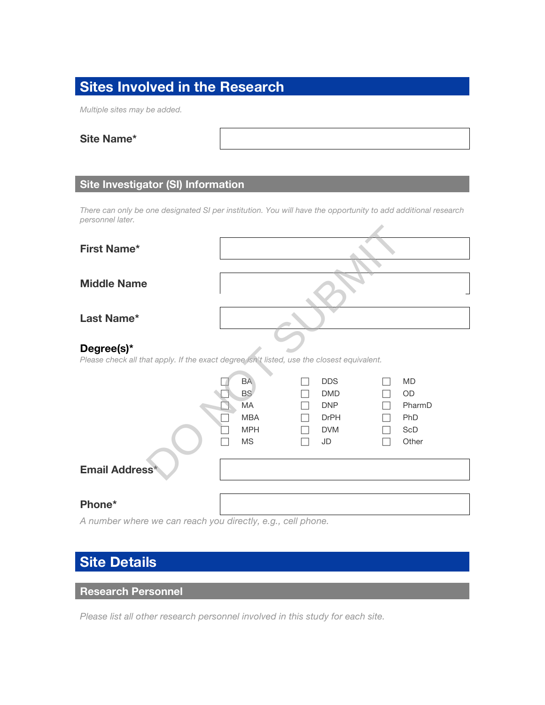# **Sites Involved in the Research**

*Multiple sites may be added.*

#### **Site Name\***

# **Site Investigator (SI) Information**

*There can only be one designated SI per institution. You will have the opportunity to add additional research personnel later.*

| <b>First Name*</b>                                                                                       |                          |                           |            |  |  |
|----------------------------------------------------------------------------------------------------------|--------------------------|---------------------------|------------|--|--|
|                                                                                                          |                          |                           |            |  |  |
| <b>Middle Name</b>                                                                                       |                          |                           |            |  |  |
| Last Name*                                                                                               |                          |                           |            |  |  |
| Degree(s)*<br>Please check all that apply. If the exact degree isn't listed, use the closest equivalent. |                          |                           |            |  |  |
|                                                                                                          | <b>BA</b>                | <b>DDS</b>                | <b>MD</b>  |  |  |
|                                                                                                          | <b>BS</b>                | <b>DMD</b>                | <b>OD</b>  |  |  |
|                                                                                                          | MA                       | <b>DNP</b>                | PharmD     |  |  |
|                                                                                                          | <b>MBA</b><br><b>MPH</b> | <b>DrPH</b><br><b>DVM</b> | PhD<br>ScD |  |  |
|                                                                                                          | <b>MS</b>                | JD                        | Other      |  |  |
| Email Address*                                                                                           |                          |                           |            |  |  |
| Phone*                                                                                                   |                          |                           |            |  |  |

*A number where we can reach you directly, e.g., cell phone.*

# **Site Details**

# **Research Personnel**

*Please list all other research personnel involved in this study for each site.*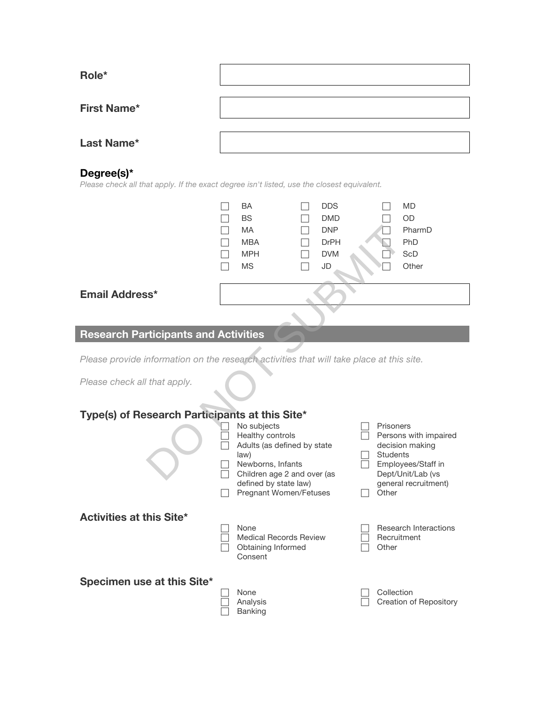| Role*              |  |
|--------------------|--|
|                    |  |
| <b>First Name*</b> |  |
|                    |  |
| Last Name*         |  |
|                    |  |

# **Degree(s)\***

*Please check all that apply. If the exact degree isn't listed, use the closest equivalent.*

|                                                                                          | <b>BA</b>                           | <b>DDS</b>  |                 | <b>MD</b>             |  |
|------------------------------------------------------------------------------------------|-------------------------------------|-------------|-----------------|-----------------------|--|
|                                                                                          | <b>BS</b>                           | <b>DMD</b>  |                 | <b>OD</b>             |  |
|                                                                                          | <b>MA</b>                           | <b>DNP</b>  |                 | PharmD                |  |
|                                                                                          | <b>MBA</b>                          | <b>DrPH</b> |                 | PhD                   |  |
|                                                                                          | <b>MPH</b>                          | <b>DVM</b>  |                 | ScD                   |  |
|                                                                                          | <b>MS</b>                           | JD          |                 | Other                 |  |
|                                                                                          |                                     |             |                 |                       |  |
| <b>Email Address*</b>                                                                    |                                     |             |                 |                       |  |
|                                                                                          |                                     |             |                 |                       |  |
| <b>Research Participants and Activities</b>                                              |                                     |             |                 |                       |  |
|                                                                                          |                                     |             |                 |                       |  |
| Please provide information on the research activities that will take place at this site. |                                     |             |                 |                       |  |
| Please check all that apply.                                                             |                                     |             |                 |                       |  |
|                                                                                          |                                     |             |                 |                       |  |
| Type(s) of Research Participants at this Site*                                           |                                     |             |                 |                       |  |
|                                                                                          | No subjects                         |             | Prisoners       |                       |  |
|                                                                                          | Healthy controls                    |             |                 | Persons with impaired |  |
|                                                                                          | Adults (as defined by state<br>law) |             | <b>Students</b> | decision making       |  |
|                                                                                          | Newborns, Infants                   |             |                 | Employees/Staff in    |  |
|                                                                                          | Children age 2 and over (as         |             |                 | Dept/Unit/Lab (vs     |  |

# **Research Participants and Activities**

# **Type(s) of Research Participants at this Site\***

|                                 | No subjects<br>Healthy controls<br>Adults (as defined by state<br>law)<br>Newborns, Infants<br>Children age 2 and over (as<br>defined by state law)<br><b>Pregnant Women/Fetuses</b> | Prisoners<br>Persons with impaired<br>decision making<br><b>Students</b><br>Employees/Staff in<br>Dept/Unit/Lab (vs.<br>general recruitment)<br>Other |
|---------------------------------|--------------------------------------------------------------------------------------------------------------------------------------------------------------------------------------|-------------------------------------------------------------------------------------------------------------------------------------------------------|
| <b>Activities at this Site*</b> | None<br><b>Medical Records Review</b><br>Obtaining Informed<br>Consent                                                                                                               | Research Interactions<br>Recruitment<br>Other                                                                                                         |
| Specimen use at this Site*      | None<br>Analysis<br><b>Banking</b>                                                                                                                                                   | Collection<br>Creation of Repository                                                                                                                  |